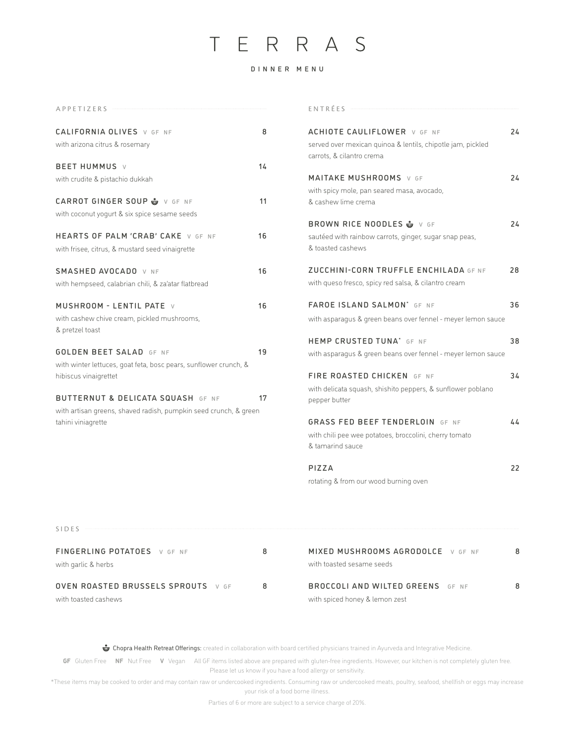## TERRAS

## DINNER MENU

| APPETIZERS                                                                                                                             |    |
|----------------------------------------------------------------------------------------------------------------------------------------|----|
| <b>CALIFORNIA OLIVES V GF NF</b><br>with arizona citrus & rosemary                                                                     | 8  |
| <b>BEET HUMMUS v</b><br>with crudite & pistachio dukkah                                                                                | 14 |
| CARROT GINGER SOUP · V GF NF<br>with coconut yogurt & six spice sesame seeds                                                           | 11 |
| HEARTS OF PALM 'CRAB' CAKE V GF NF<br>with frisee, citrus, & mustard seed vinaigrette                                                  | 16 |
| <b>SMASHED AVOCADO V NF</b><br>with hempseed, calabrian chili, & za'atar flatbread                                                     | 16 |
| <b>MUSHROOM - LENTIL PATE V</b><br>with cashew chive cream, pickled mushrooms,<br>& pretzel toast                                      | 16 |
| <b>GOLDEN BEET SALAD GF NF</b><br>with winter lettuces, goat feta, bosc pears, sunflower crunch, &<br>hibiscus vinaigrettet            | 19 |
| <b>BUTTERNUT &amp; DELICATA SQUASH GF NF</b><br>with artisan greens, shaved radish, pumpkin seed crunch, & green<br>tahini viniagrette | 17 |
|                                                                                                                                        |    |

ENTRÉES

| <b>ACHIOTE CAULIFLOWER</b> V GF NF<br>served over mexican quinoa & lentils, chipotle jam, pickled<br>carrots, & cilantro crema | 24 |
|--------------------------------------------------------------------------------------------------------------------------------|----|
| MAITAKE MUSHROOMS V GF<br>with spicy mole, pan seared masa, avocado,<br>& cashew lime crema                                    | 24 |
| BROWN RICE NOODLES ↔ V GF<br>sautéed with rainbow carrots, ginger, sugar snap peas,<br>& toasted cashews                       | 24 |
| <b>ZUCCHINI-CORN TRUFFLE ENCHILADA GF NF</b><br>with queso fresco, spicy red salsa, & cilantro cream                           | 28 |
| FAROE ISLAND SALMON* GF NF<br>with asparagus & green beans over fennel - meyer lemon sauce                                     | 36 |
| <b>HEMP CRUSTED TUNA' GF NF</b><br>with asparagus & green beans over fennel - meyer lemon sauce                                | 38 |
| FIRE ROASTED CHICKEN GF NF<br>with delicata squash, shishito peppers, & sunflower poblano<br>pepper butter                     | 34 |
| <b>GRASS FED BEEF TENDERLOIN GF NF</b><br>with chili pee wee potatoes, broccolini, cherry tomato<br>& tamarind sauce           | 44 |
| PIZZA<br>rotating & from our wood burning oven                                                                                 | 22 |

| SIDES                                              |                                                                       |  |
|----------------------------------------------------|-----------------------------------------------------------------------|--|
| FINGERLING POTATOES V GF NF<br>with garlic & herbs | <b>MIXED MUSHROOMS AGRODOLCE</b> V GF NF<br>with toasted sesame seeds |  |
| <b>OVEN ROASTED BRUSSELS SPROUTS</b> V GF          | <b>BROCCOLI AND WILTED GREENS</b> GF NF                               |  |
| with toasted cashews                               | with spiced honey & lemon zest                                        |  |

**&** Chopra Health Retreat Offerings: created in collaboration with board certified physicians trained in Ayurveda and Integrative Medicine.

**GF** Gluten Free **NF** Nut Free **V** Vegan All GF items listed above are prepared with gluten-free ingredients. However, our kitchen is not completely gluten free. Please let us know if you have a food allergy or sensitivity.

\*These items may be cooked to order and may contain raw or undercooked ingredients. Consuming raw or undercooked meats, poultry, seafood, shellfish or eggs may increase your risk of a food borne illness.

Parties of 6 or more are subject to a service charge of 20%.